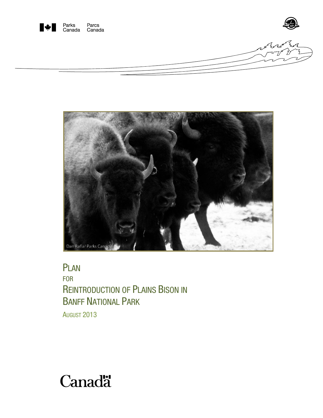



PLAN FOR REINTRODUCTION OF PLAINS BISON IN BANFF NATIONAL PARK AUGUST 2013

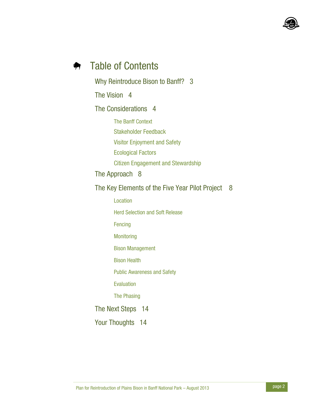

### Table of Contents ₩

Why Reintroduce Bison to Banff? 3 The Vision 4 The Considerations 4 The Banff Context Stakeholder Feedback Visitor Enjoyment and Safety Ecological Factors Citizen Engagement and Stewardship The Approach 8 The Key Elements of the Five Year Pilot Project 8 Location Herd Selection and Soft Release Fencing **Monitoring** Bison Management Bison Health Public Awareness and Safety Evaluation The Phasing The Next Steps 14 Your Thoughts 14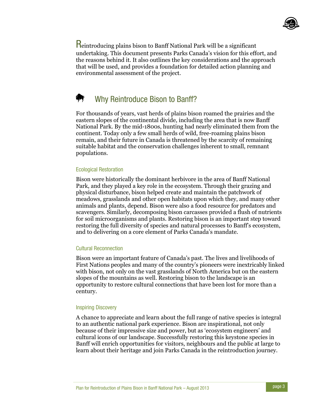

Reintroducing plains bison to Banff National Park will be a significant undertaking. This document presents Parks Canada's vision for this effort, and the reasons behind it. It also outlines the key considerations and the approach that will be used, and provides a foundation for detailed action planning and environmental assessment of the project.

# Why Reintroduce Bison to Banff?

For thousands of years, vast herds of plains bison roamed the prairies and the eastern slopes of the continental divide, including the area that is now Banff National Park. By the mid-1800s, hunting had nearly eliminated them from the continent. Today only a few small herds of wild, free-roaming plains bison remain, and their future in Canada is threatened by the scarcity of remaining suitable habitat and the conservation challenges inherent to small, remnant populations.

## Ecological Restoration

Bison were historically the dominant herbivore in the area of Banff National Park, and they played a key role in the ecosystem. Through their grazing and physical disturbance, bison helped create and maintain the patchwork of meadows, grasslands and other open habitats upon which they, and many other animals and plants, depend. Bison were also a food resource for predators and scavengers. Similarly, decomposing bison carcasses provided a flush of nutrients for soil microorganisms and plants. Restoring bison is an important step toward restoring the full diversity of species and natural processes to Banff's ecosystem, and to delivering on a core element of Parks Canada's mandate.

# Cultural Reconnection

Bison were an important feature of Canada's past. The lives and livelihoods of First Nations peoples and many of the country's pioneers were inextricably linked with bison, not only on the vast grasslands of North America but on the eastern slopes of the mountains as well. Restoring bison to the landscape is an opportunity to restore cultural connections that have been lost for more than a century.

## Inspiring Discovery

A chance to appreciate and learn about the full range of native species is integral to an authentic national park experience. Bison are inspirational, not only because of their impressive size and power, but as 'ecosystem engineers' and cultural icons of our landscape. Successfully restoring this keystone species in Banff will enrich opportunities for visitors, neighbours and the public at large to learn about their heritage and join Parks Canada in the reintroduction journey.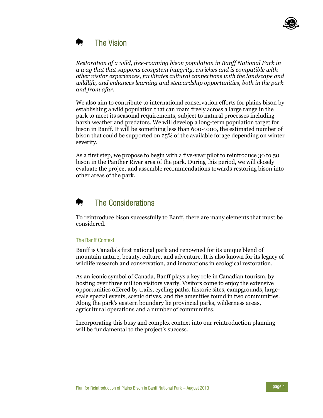

#### The Vision  $\blacksquare$

*Restoration of a wild, free-roaming bison population in Banff National Park in a way that that supports ecosystem integrity, enriches and is compatible with other visitor experiences, facilitates cultural connections with the landscape and wildlife, and enhances learning and stewardship opportunities, both in the park and from afar.* 

We also aim to contribute to international conservation efforts for plains bison by establishing a wild population that can roam freely across a large range in the park to meet its seasonal requirements, subject to natural processes including harsh weather and predators. We will develop a long-term population target for bison in Banff. It will be something less than 600-1000, the estimated number of bison that could be supported on 25% of the available forage depending on winter severity.

As a first step, we propose to begin with a five-year pilot to reintroduce 30 to 50 bison in the Panther River area of the park. During this period, we will closely evaluate the project and assemble recommendations towards restoring bison into other areas of the park.

# The Considerations

To reintroduce bison successfully to Banff, there are many elements that must be considered.

## The Banff Context

Banff is Canada's first national park and renowned for its unique blend of mountain nature, beauty, culture, and adventure. It is also known for its legacy of wildlife research and conservation, and innovations in ecological restoration.

As an iconic symbol of Canada, Banff plays a key role in Canadian tourism, by hosting over three million visitors yearly. Visitors come to enjoy the extensive opportunities offered by trails, cycling paths, historic sites, campgrounds, largescale special events, scenic drives, and the amenities found in two communities. Along the park's eastern boundary lie provincial parks, wilderness areas, agricultural operations and a number of communities.

Incorporating this busy and complex context into our reintroduction planning will be fundamental to the project's success.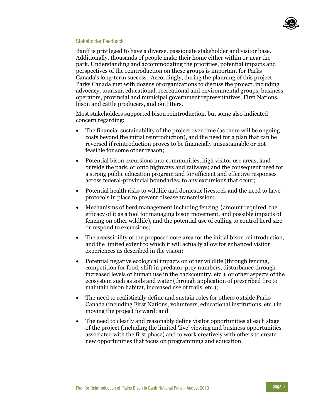

### Stakeholder Feedback

Banff is privileged to have a diverse, passionate stakeholder and visitor base. Additionally, thousands of people make their home either within or near the park. Understanding and accommodating the priorities, potential impacts and perspectives of the reintroduction on these groups is important for Parks Canada's long-term success. Accordingly, during the planning of this project Parks Canada met with dozens of organizations to discuss the project, including advocacy, tourism, educational, recreational and environmental groups, business operators, provincial and municipal government representatives, First Nations, bison and cattle producers, and outfitters.

Most stakeholders supported bison reintroduction, but some also indicated concern regarding:

- The financial sustainability of the project over time (as there will be ongoing costs beyond the initial reintroduction), and the need for a plan that can be reversed if reintroduction proves to be financially unsustainable or not feasible for some other reason;
- Potential bison excursions into communities, high visitor use areas, land outside the park, or onto highways and railways; and the consequent need for a strong public education program and for efficient and effective responses across federal-provincial boundaries, to any excursions that occur;
- Potential health risks to wildlife and domestic livestock and the need to have protocols in place to prevent disease transmission;
- Mechanisms of herd management including fencing (amount required, the efficacy of it as a tool for managing bison movement, and possible impacts of fencing on other wildlife), and the potential use of culling to control herd size or respond to excursions;
- The accessibility of the proposed core area for the initial bison reintroduction, and the limited extent to which it will actually allow for enhanced visitor experiences as described in the vision;
- Potential negative ecological impacts on other wildlife (through fencing, competition for food, shift in predator-prey numbers, disturbance through increased levels of human use in the backcountry, etc.), or other aspects of the ecosystem such as soils and water (through application of prescribed fire to maintain bison habitat, increased use of trails, etc.);
- The need to realistically define and sustain roles for others outside Parks Canada (including First Nations, volunteers, educational institutions, etc.) in moving the project forward; and
- The need to clearly and reasonably define visitor opportunities at each stage of the project (including the limited 'live' viewing and business opportunities associated with the first phase) and to work creatively with others to create new opportunities that focus on programming and education.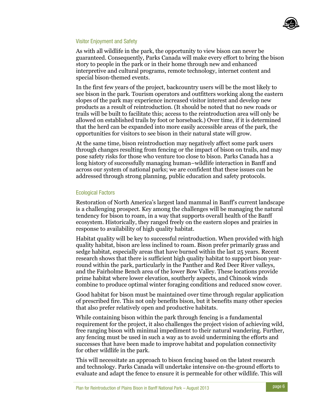

### Visitor Enjoyment and Safety

As with all wildlife in the park, the opportunity to view bison can never be guaranteed. Consequently, Parks Canada will make every effort to bring the bison story to people in the park or in their home through new and enhanced interpretive and cultural programs, remote technology, internet content and special bison-themed events.

In the first few years of the project, backcountry users will be the most likely to see bison in the park. Tourism operators and outfitters working along the eastern slopes of the park may experience increased visitor interest and develop new products as a result of reintroduction. (It should be noted that no new roads or trails will be built to facilitate this; access to the reintroduction area will only be allowed on established trails by foot or horseback.) Over time, if it is determined that the herd can be expanded into more easily accessible areas of the park, the opportunities for visitors to see bison in their natural state will grow.

At the same time, bison reintroduction may negatively affect some park users through changes resulting from fencing or the impact of bison on trails, and may pose safety risks for those who venture too close to bison. Parks Canada has a long history of successfully managing human–wildlife interaction in Banff and across our system of national parks; we are confident that these issues can be addressed through strong planning, public education and safety protocols.

### Ecological Factors

Restoration of North America's largest land mammal in Banff's current landscape is a challenging prospect. Key among the challenges will be managing the natural tendency for bison to roam, in a way that supports overall health of the Banff ecosystem. Historically, they ranged freely on the eastern slopes and prairies in response to availability of high quality habitat.

Habitat quality will be key to successful reintroduction. When provided with high quality habitat, bison are less inclined to roam. Bison prefer primarily grass and sedge habitat, especially areas that have burned within the last 25 years. Recent research shows that there is sufficient high quality habitat to support bison yearround within the park, particularly in the Panther and Red Deer River valleys, and the Fairholme Bench area of the lower Bow Valley. These locations provide prime habitat where lower elevation, southerly aspects, and Chinook winds combine to produce optimal winter foraging conditions and reduced snow cover.

Good habitat for bison must be maintained over time through regular application of prescribed fire. This not only benefits bison, but it benefits many other species that also prefer relatively open and productive habitats.

While containing bison within the park through fencing is a fundamental requirement for the project, it also challenges the project vision of achieving wild, free ranging bison with minimal impediment to their natural wandering. Further, any fencing must be used in such a way as to avoid undermining the efforts and successes that have been made to improve habitat and population connectivity for other wildlife in the park.

This will necessitate an approach to bison fencing based on the latest research and technology. Parks Canada will undertake intensive on-the-ground efforts to evaluate and adapt the fence to ensure it is permeable for other wildlife. This will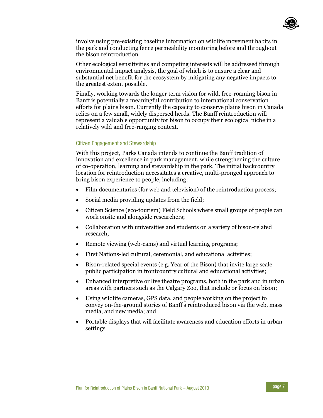

involve using pre-existing baseline information on wildlife movement habits in the park and conducting fence permeability monitoring before and throughout the bison reintroduction.

Other ecological sensitivities and competing interests will be addressed through environmental impact analysis, the goal of which is to ensure a clear and substantial net benefit for the ecosystem by mitigating any negative impacts to the greatest extent possible.

Finally, working towards the longer term vision for wild, free-roaming bison in Banff is potentially a meaningful contribution to international conservation efforts for plains bison. Currently the capacity to conserve plains bison in Canada relies on a few small, widely dispersed herds. The Banff reintroduction will represent a valuable opportunity for bison to occupy their ecological niche in a relatively wild and free-ranging context.

### Citizen Engagement and Stewardship

With this project, Parks Canada intends to continue the Banff tradition of innovation and excellence in park management, while strengthening the culture of co-operation, learning and stewardship in the park. The initial backcountry location for reintroduction necessitates a creative, multi-pronged approach to bring bison experience to people, including:

- Film documentaries (for web and television) of the reintroduction process;
- Social media providing updates from the field;
- Citizen Science (eco-tourism) Field Schools where small groups of people can work onsite and alongside researchers;
- Collaboration with universities and students on a variety of bison-related research;
- Remote viewing (web-cams) and virtual learning programs;
- First Nations-led cultural, ceremonial, and educational activities;
- Bison-related special events (e.g. Year of the Bison) that invite large scale public participation in frontcountry cultural and educational activities;
- Enhanced interpretive or live theatre programs, both in the park and in urban areas with partners such as the Calgary Zoo, that include or focus on bison;
- Using wildlife cameras, GPS data, and people working on the project to convey on-the-ground stories of Banff's reintroduced bison via the web, mass media, and new media; and
- Portable displays that will facilitate awareness and education efforts in urban settings.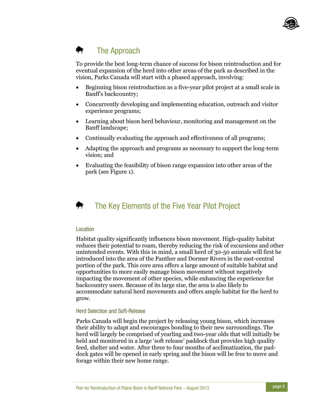

#### The Approach ⇜

To provide the best long-term chance of success for bison reintroduction and for eventual expansion of the herd into other areas of the park as described in the vision, Parks Canada will start with a phased approach, involving:

- Beginning bison reintroduction as a five-year pilot project at a small scale in Banff's backcountry;
- Concurrently developing and implementing education, outreach and visitor experience programs;
- Learning about bison herd behaviour, monitoring and management on the Banff landscape;
- Continually evaluating the approach and effectiveness of all programs;
- Adapting the approach and programs as necessary to support the long-term vision; and
- Evaluating the feasibility of bison range expansion into other areas of the park (see Figure 1).



# The Key Elements of the Five Year Pilot Project

### Location

Habitat quality significantly influences bison movement. High-quality habitat reduces their potential to roam, thereby reducing the risk of excursions and other unintended events. With this in mind, a small herd of 30-50 animals will first be introduced into the area of the Panther and Dormer Rivers in the east-central portion of the park. This core area offers a large amount of suitable habitat and opportunities to more easily manage bison movement without negatively impacting the movement of other species, while enhancing the experience for backcountry users. Because of its large size, the area is also likely to accommodate natural herd movements and offers ample habitat for the herd to grow.

### Herd Selection and Soft-Release

Parks Canada will begin the project by releasing young bison, which increases their ability to adapt and encourages bonding to their new surroundings. The herd will largely be comprised of yearling and two-year olds that will initially be held and monitored in a large 'soft release' paddock that provides high quality feed, shelter and water. After three to four months of acclimatization, the paddock gates will be opened in early spring and the bison will be free to move and forage within their new home range.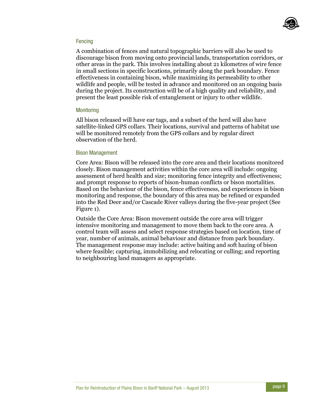

### **Fencing**

A combination of fences and natural topographic barriers will also be used to discourage bison from moving onto provincial lands, transportation corridors, or other areas in the park. This involves installing about 21 kilometres of wire fence in small sections in specific locations, primarily along the park boundary. Fence effectiveness in containing bison, while maximizing its permeability to other wildlife and people, will be tested in advance and monitored on an ongoing basis during the project. Its construction will be of a high quality and reliability, and present the least possible risk of entanglement or injury to other wildlife.

### **Monitoring**

All bison released will have ear tags, and a subset of the herd will also have satellite-linked GPS collars. Their locations, survival and patterns of habitat use will be monitored remotely from the GPS collars and by regular direct observation of the herd.

### Bison Management

Core Area: Bison will be released into the core area and their locations monitored closely. Bison management activities within the core area will include: ongoing assessment of herd health and size; monitoring fence integrity and effectiveness; and prompt response to reports of bison-human conflicts or bison mortalities. Based on the behaviour of the bison, fence effectiveness, and experiences in bison monitoring and response, the boundary of this area may be refined or expanded into the Red Deer and/or Cascade River valleys during the five-year project (See Figure 1).

Outside the Core Area: Bison movement outside the core area will trigger intensive monitoring and management to move them back to the core area. A control team will assess and select response strategies based on location, time of year, number of animals, animal behaviour and distance from park boundary. The management response may include: active baiting and soft hazing of bison where feasible; capturing, immobilizing and relocating or culling; and reporting to neighbouring land managers as appropriate.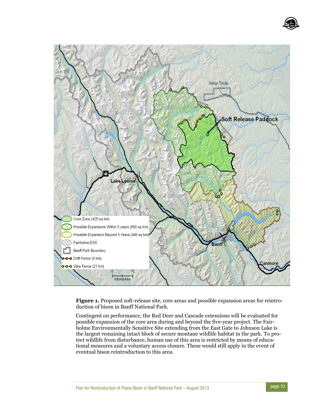



**Figure 1.** Proposed soft-release site, core areas and possible expansion areas for reintroduction of bison in Banff National Park.

Contingent on performance, the Red Deer and Cascade extensions will be evaluated for possible expansion of the core area during and beyond the five-year project. The Fairholme Environmentally Sensitive Site extending from the East Gate to Johnson Lake is the largest remaining intact block of secure montane wildlife habitat in the park. To protect wildlife from disturbance, human use of this area is restricted by means of educational measures and a voluntary access closure. These would still apply in the event of eventual bison reintroduction to this area.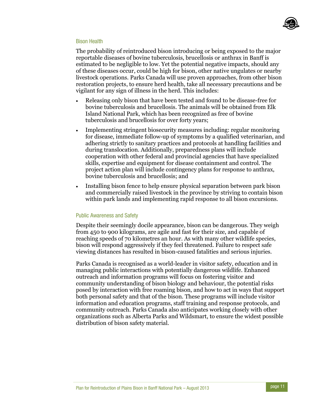

### Bison Health

The probability of reintroduced bison introducing or being exposed to the major reportable diseases of bovine tuberculosis, brucellosis or anthrax in Banff is estimated to be negligible to low. Yet the potential negative impacts, should any of these diseases occur, could be high for bison, other native ungulates or nearby livestock operations. Parks Canada will use proven approaches, from other bison restoration projects, to ensure herd health, take all necessary precautions and be vigilant for any sign of illness in the herd. This includes:

- Releasing only bison that have been tested and found to be disease-free for bovine tuberculosis and brucellosis. The animals will be obtained from Elk Island National Park, which has been recognized as free of bovine tuberculosis and brucellosis for over forty years;
- Implementing stringent biosecurity measures including: regular monitoring for disease, immediate follow-up of symptoms by a qualified veterinarian, and adhering strictly to sanitary practices and protocols at handling facilities and during translocation. Additionally, preparedness plans will include cooperation with other federal and provincial agencies that have specialized skills, expertise and equipment for disease containment and control. The project action plan will include contingency plans for response to anthrax, bovine tuberculosis and brucellosis; and
- Installing bison fence to help ensure physical separation between park bison and commercially raised livestock in the province by striving to contain bison within park lands and implementing rapid response to all bison excursions.

### Public Awareness and Safety

Despite their seemingly docile appearance, bison can be dangerous. They weigh from 450 to 900 kilograms, are agile and fast for their size, and capable of reaching speeds of 70 kilometres an hour. As with many other wildlife species, bison will respond aggressively if they feel threatened. Failure to respect safe viewing distances has resulted in bison-caused fatalities and serious injuries.

Parks Canada is recognised as a world-leader in visitor safety, education and in managing public interactions with potentially dangerous wildlife. Enhanced outreach and information programs will focus on fostering visitor and community understanding of bison biology and behaviour, the potential risks posed by interaction with free roaming bison, and how to act in ways that support both personal safety and that of the bison. These programs will include visitor information and education programs, staff training and response protocols, and community outreach. Parks Canada also anticipates working closely with other organizations such as Alberta Parks and Wildsmart, to ensure the widest possible distribution of bison safety material.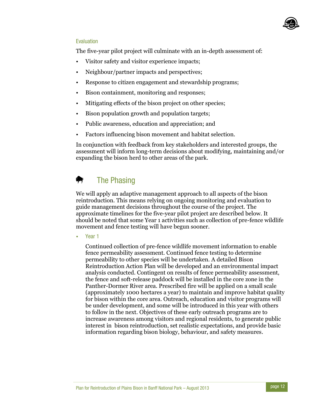

# Evaluation

The five-year pilot project will culminate with an in-depth assessment of:

- Visitor safety and visitor experience impacts;
- Neighbour/partner impacts and perspectives;
- Response to citizen engagement and stewardship programs;
- Bison containment, monitoring and responses;
- Mitigating effects of the bison project on other species;
- Bison population growth and population targets;
- Public awareness, education and appreciation; and
- Factors influencing bison movement and habitat selection.

In conjunction with feedback from key stakeholders and interested groups, the assessment will inform long-term decisions about modifying, maintaining and/or expanding the bison herd to other areas of the park.

### ₩ The Phasing

We will apply an adaptive management approach to all aspects of the bison reintroduction. This means relying on ongoing monitoring and evaluation to guide management decisions throughout the course of the project. The approximate timelines for the five-year pilot project are described below. It should be noted that some Year 1 activities such as collection of pre-fence wildlife movement and fence testing will have begun sooner.

Year 1

Continued collection of pre-fence wildlife movement information to enable fence permeability assessment. Continued fence testing to determine permeability to other species will be undertaken. A detailed Bison Reintroduction Action Plan will be developed and an environmental impact analysis conducted. Contingent on results of fence permeability assessment, the fence and soft-release paddock will be installed in the core zone in the Panther-Dormer River area. Prescribed fire will be applied on a small scale (approximately 1000 hectares a year) to maintain and improve habitat quality for bison within the core area. Outreach, education and visitor programs will be under development, and some will be introduced in this year with others to follow in the next. Objectives of these early outreach programs are to increase awareness among visitors and regional residents, to generate public interest in bison reintroduction, set realistic expectations, and provide basic information regarding bison biology, behaviour, and safety measures.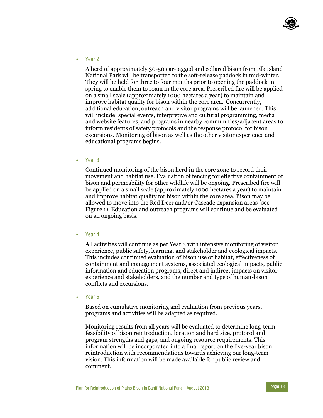

• Year 2

A herd of approximately 30-50 ear-tagged and collared bison from Elk Island National Park will be transported to the soft-release paddock in mid-winter. They will be held for three to four months prior to opening the paddock in spring to enable them to roam in the core area. Prescribed fire will be applied on a small scale (approximately 1000 hectares a year) to maintain and improve habitat quality for bison within the core area. Concurrently, additional education, outreach and visitor programs will be launched. This will include: special events, interpretive and cultural programming, media and website features, and programs in nearby communities/adjacent areas to inform residents of safety protocols and the response protocol for bison excursions. Monitoring of bison as well as the other visitor experience and educational programs begins.

• Year 3

Continued monitoring of the bison herd in the core zone to record their movement and habitat use. Evaluation of fencing for effective containment of bison and permeability for other wildlife will be ongoing. Prescribed fire will be applied on a small scale (approximately 1000 hectares a year) to maintain and improve habitat quality for bison within the core area. Bison may be allowed to move into the Red Deer and/or Cascade expansion areas (see Figure 1). Education and outreach programs will continue and be evaluated on an ongoing basis.

Year 4

All activities will continue as per Year 3 with intensive monitoring of visitor experience, public safety, learning, and stakeholder and ecological impacts. This includes continued evaluation of bison use of habitat, effectiveness of containment and management systems, associated ecological impacts, public information and education programs, direct and indirect impacts on visitor experience and stakeholders, and the number and type of human-bison conflicts and excursions.

Year 5

Based on cumulative monitoring and evaluation from previous years, programs and activities will be adapted as required.

Monitoring results from all years will be evaluated to determine long-term feasibility of bison reintroduction, location and herd size, protocol and program strengths and gaps, and ongoing resource requirements. This information will be incorporated into a final report on the five-year bison reintroduction with recommendations towards achieving our long-term vision. This information will be made available for public review and comment.